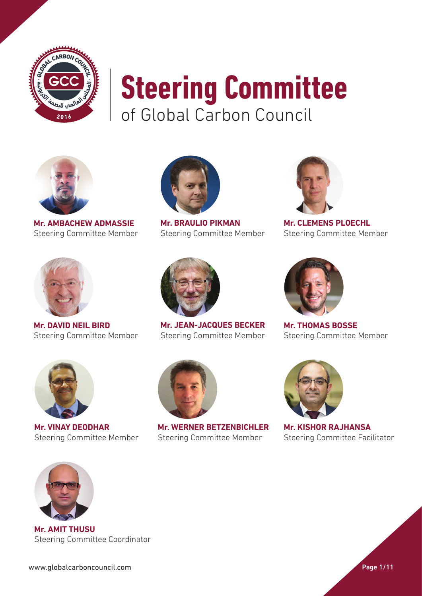



**Mr. AMBACHEW ADMASSIE** Steering Committee Member



**Mr. BRAULIO PIKMAN** Steering Committee Member



**Mr. CLEMENS PLOECHL** Steering Committee Member



**Mr. DAVID NEIL BIRD** Steering Committee Member



**Mr. JEAN-JACQUES BECKER** Steering Committee Member



**Mr. THOMAS BOSSE** Steering Committee Member



**Mr. VINAY DEODHAR** Steering Committee Member



**Mr. WERNER BETZENBICHLER** Steering Committee Member



**Mr. KISHOR RAJHANSA**  Steering Committee Facilitator



**Mr. AMIT THUSU** Steering Committee Coordinator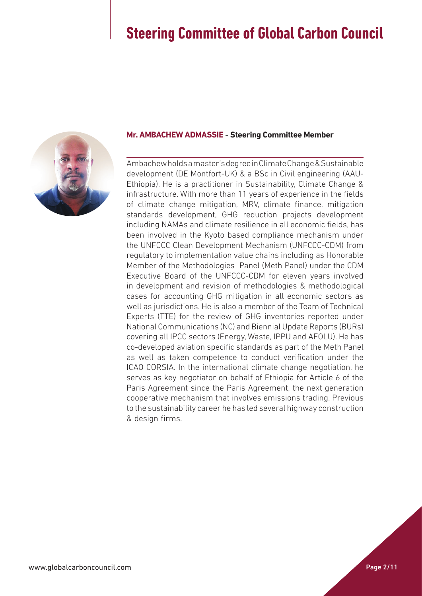

#### **Mr. AMBACHEW ADMASSIE - Steering Committee Member**

Ambachew holds a master's degree in Climate Change & Sustainable development (DE Montfort-UK) & a BSc in Civil engineering (AAU-Ethiopia). He is a practitioner in Sustainability, Climate Change & infrastructure. With more than 11 years of experience in the fields of climate change mitigation, MRV, climate finance, mitigation standards development, GHG reduction projects development including NAMAs and climate resilience in all economic fields, has been involved in the Kyoto based compliance mechanism under the UNFCCC Clean Development Mechanism (UNFCCC-CDM) from regulatory to implementation value chains including as Honorable Member of the Methodologies Panel (Meth Panel) under the CDM Executive Board of the UNFCCC-CDM for eleven years involved in development and revision of methodologies & methodological cases for accounting GHG mitigation in all economic sectors as well as jurisdictions. He is also a member of the Team of Technical Experts (TTE) for the review of GHG inventories reported under National Communications (NC) and Biennial Update Reports (BURs) covering all IPCC sectors (Energy, Waste, IPPU and AFOLU). He has co-developed aviation specific standards as part of the Meth Panel as well as taken competence to conduct verification under the ICAO CORSIA. In the international climate change negotiation, he serves as key negotiator on behalf of Ethiopia for Article 6 of the Paris Agreement since the Paris Agreement, the next generation cooperative mechanism that involves emissions trading. Previous to the sustainability career he has led several highway construction & design firms.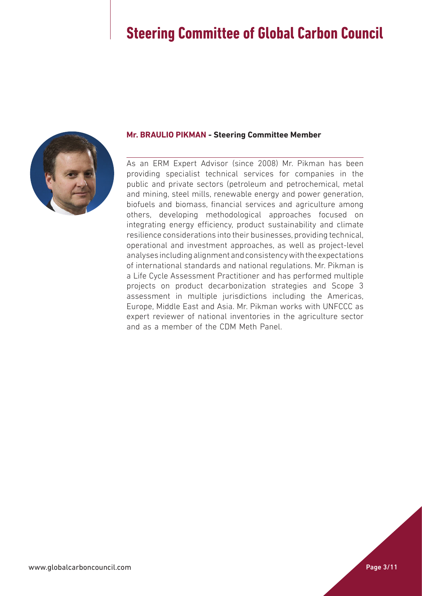

#### **Mr. BRAULIO PIKMAN - Steering Committee Member**

As an ERM Expert Advisor (since 2008) Mr. Pikman has been providing specialist technical services for companies in the public and private sectors (petroleum and petrochemical, metal and mining, steel mills, renewable energy and power generation, biofuels and biomass, financial services and agriculture among others, developing methodological approaches focused on integrating energy efficiency, product sustainability and climate resilience considerations into their businesses, providing technical, operational and investment approaches, as well as project-level analyses including alignment and consistency with the expectations of international standards and national regulations. Mr. Pikman is a Life Cycle Assessment Practitioner and has performed multiple projects on product decarbonization strategies and Scope 3 assessment in multiple jurisdictions including the Americas, Europe, Middle East and Asia. Mr. Pikman works with UNFCCC as expert reviewer of national inventories in the agriculture sector and as a member of the CDM Meth Panel.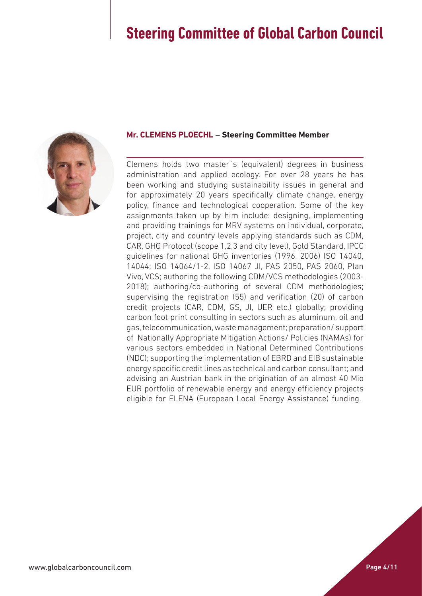

### **Mr. CLEMENS PLOECHL – Steering Committee Member**

Clemens holds two master´s (equivalent) degrees in business administration and applied ecology. For over 28 years he has been working and studying sustainability issues in general and for approximately 20 years specifically climate change, energy policy, finance and technological cooperation. Some of the key assignments taken up by him include: designing, implementing and providing trainings for MRV systems on individual, corporate, project, city and country levels applying standards such as CDM, CAR, GHG Protocol (scope 1,2,3 and city level), Gold Standard, IPCC guidelines for national GHG inventories (1996, 2006) ISO 14040, 14044; ISO 14064/1-2, ISO 14067 JI, PAS 2050, PAS 2060, Plan Vivo, VCS; authoring the following CDM/VCS methodologies (2003- 2018); authoring/co-authoring of several CDM methodologies; supervising the registration (55) and verification (20) of carbon credit projects (CAR, CDM, GS, JI, UER etc.) globally; providing carbon foot print consulting in sectors such as aluminum, oil and gas, telecommunication, waste management; preparation/ support of Nationally Appropriate Mitigation Actions/ Policies (NAMAs) for various sectors embedded in National Determined Contributions (NDC); supporting the implementation of EBRD and EIB sustainable energy specific credit lines as technical and carbon consultant; and advising an Austrian bank in the origination of an almost 40 Mio EUR portfolio of renewable energy and energy efficiency projects eligible for ELENA (European Local Energy Assistance) funding.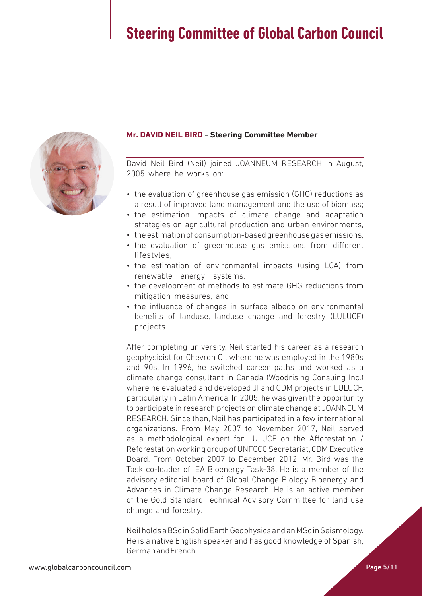

### **Mr. DAVID NEIL BIRD - Steering Committee Member**

David Neil Bird (Neil) joined JOANNEUM RESEARCH in August, 2005 where he works on:

- the evaluation of greenhouse gas emission (GHG) reductions as a result of improved land management and the use of biomass;
- the estimation impacts of climate change and adaptation strategies on agricultural production and urban environments,
- the estimation of consumption-based greenhouse gas emissions,
- the evaluation of greenhouse gas emissions from different lifestyles,
- the estimation of environmental impacts (using LCA) from renewable energy systems,
- the development of methods to estimate GHG reductions from mitigation measures, and
- the influence of changes in surface albedo on environmental benefits of landuse, landuse change and forestry (LULUCF) projects.

After completing university, Neil started his career as a research geophysicist for Chevron Oil where he was employed in the 1980s and 90s. In 1996, he switched career paths and worked as a climate change consultant in Canada (Woodrising Consuing Inc.) where he evaluated and developed JI and CDM projects in LULUCF, particularly in Latin America. In 2005, he was given the opportunity to participate in research projects on climate change at JOANNEUM RESEARCH. Since then, Neil has participated in a few international organizations. From May 2007 to November 2017, Neil served as a methodological expert for LULUCF on the Afforestation / Reforestation working group of UNFCCC Secretariat, CDM Executive Board. From October 2007 to December 2012, Mr. Bird was the Task co-leader of IEA Bioenergy Task-38. He is a member of the advisory editorial board of Global Change Biology Bioenergy and Advances in Climate Change Research. He is an active member of the Gold Standard Technical Advisory Committee for land use change and forestry.

Neil holds a BSc in Solid Earth Geophysics and an MSc in Seismology. He is a native English speaker and has good knowledge of Spanish, German and French.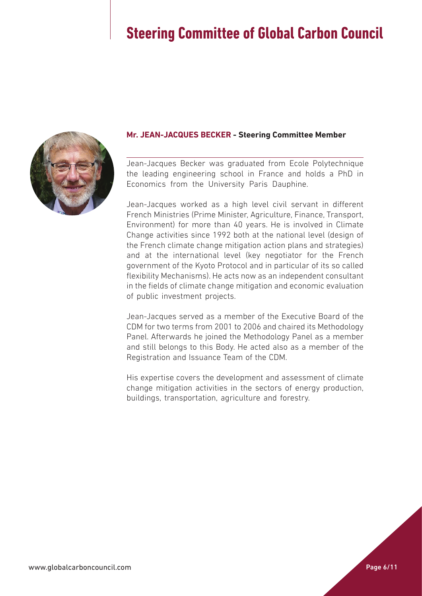

### **Mr. JEAN-JACQUES BECKER - Steering Committee Member**

Jean-Jacques Becker was graduated from Ecole Polytechnique the leading engineering school in France and holds a PhD in Economics from the University Paris Dauphine.

Jean-Jacques worked as a high level civil servant in different French Ministries (Prime Minister, Agriculture, Finance, Transport, Environment) for more than 40 years. He is involved in Climate Change activities since 1992 both at the national level (design of the French climate change mitigation action plans and strategies) and at the international level (key negotiator for the French government of the Kyoto Protocol and in particular of its so called flexibility Mechanisms). He acts now as an independent consultant in the fields of climate change mitigation and economic evaluation of public investment projects.

Jean-Jacques served as a member of the Executive Board of the CDM for two terms from 2001 to 2006 and chaired its Methodology Panel. Afterwards he joined the Methodology Panel as a member and still belongs to this Body. He acted also as a member of the Registration and Issuance Team of the CDM.

His expertise covers the development and assessment of climate change mitigation activities in the sectors of energy production, buildings, transportation, agriculture and forestry.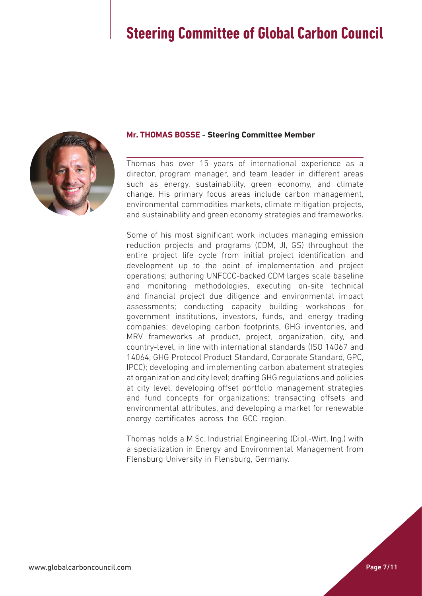

### **Mr. THOMAS BOSSE - Steering Committee Member**

Thomas has over 15 years of international experience as a director, program manager, and team leader in different areas such as energy, sustainability, green economy, and climate change. His primary focus areas include carbon management, environmental commodities markets, climate mitigation projects, and sustainability and green economy strategies and frameworks.

Some of his most significant work includes managing emission reduction projects and programs (CDM, JI, GS) throughout the entire project life cycle from initial project identification and development up to the point of implementation and project operations; authoring UNFCCC-backed CDM larges scale baseline and monitoring methodologies, executing on-site technical and financial project due diligence and environmental impact assessments; conducting capacity building workshops for government institutions, investors, funds, and energy trading companies; developing carbon footprints, GHG inventories, and MRV frameworks at product, project, organization, city, and country-level, in line with international standards (ISO 14067 and 14064, GHG Protocol Product Standard, Corporate Standard, GPC, IPCC); developing and implementing carbon abatement strategies at organization and city level; drafting GHG regulations and policies at city level, developing offset portfolio management strategies and fund concepts for organizations; transacting offsets and environmental attributes, and developing a market for renewable energy certificates across the GCC region.

Thomas holds a M.Sc. Industrial Engineering (Dipl.-Wirt. Ing.) with a specialization in Energy and Environmental Management from Flensburg University in Flensburg, Germany.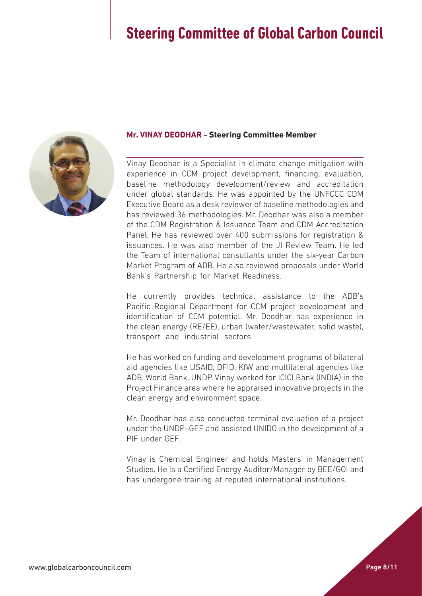

#### **Mr. VINAY DEODHAR - Steering Committee Member**

Vinay Deodhar is a Specialist in climate change mitigation with experience in CCM project development, financing, evaluation, baseline methodology development/review and accreditation under global standards. He was appointed by the UNFCCC CDM Executive Board as a desk reviewer of baseline methodologies and has reviewed 36 methodologies. Mr. Deodhar was also a member of the CDM Registration & Issuance Team and CDM Accreditation Panel. He has reviewed over 400 submissions for registration & issuances. He was also member of the JI Review Team. He led the Team of international consultants under the six-year Carbon Market Program of ADB. He also reviewed proposals under World Bank's Partnership for Market Readiness.

He currently provides technical assistance to the ADB's Pacific Regional Department for CCM project development and identification of CCM potential. Mr. Deodhar has experience in the clean energy (RE/EE), urban (water/wastewater, solid waste), transport and industrial sectors.

He has worked on funding and development programs of bilateral aid agencies like USAID, DFID, KfW and multilateral agencies like ADB, World Bank, UNDP. Vinay worked for ICICI Bank (INDIA) in the Project Finance area where he appraised innovative projects in the clean energy and environment space.

Mr. Deodhar has also conducted terminal evaluation of a project under the UNDP–GEF and assisted UNIDO in the development of a PIF under GEF.

Vinay is Chemical Engineer and holds Masters' in Management Studies. He is a Certified Energy Auditor/Manager by BEE/GOI and has undergone training at reputed international institutions.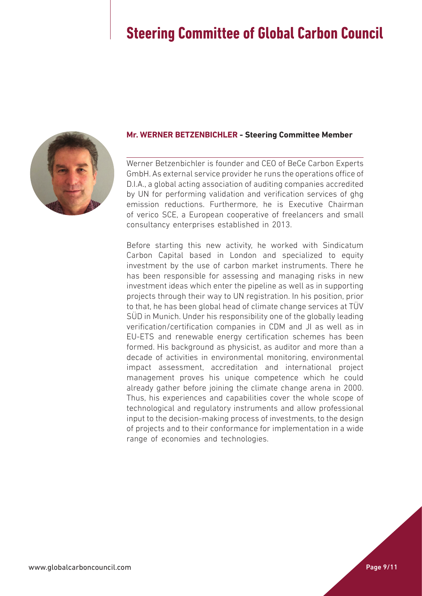

### **Mr. WERNER BETZENBICHLER - Steering Committee Member**

Werner Betzenbichler is founder and CEO of BeCe Carbon Experts GmbH. As external service provider he runs the operations office of D.I.A., a global acting association of auditing companies accredited by UN for performing validation and verification services of ghg emission reductions. Furthermore, he is Executive Chairman of verico SCE, a European cooperative of freelancers and small consultancy enterprises established in 2013.

Before starting this new activity, he worked with Sindicatum Carbon Capital based in London and specialized to equity investment by the use of carbon market instruments. There he has been responsible for assessing and managing risks in new investment ideas which enter the pipeline as well as in supporting projects through their way to UN registration. In his position, prior to that, he has been global head of climate change services at TÜV SÜD in Munich. Under his responsibility one of the globally leading verification/certification companies in CDM and JI as well as in EU-ETS and renewable energy certification schemes has been formed. His background as physicist, as auditor and more than a decade of activities in environmental monitoring, environmental impact assessment, accreditation and international project management proves his unique competence which he could already gather before joining the climate change arena in 2000. Thus, his experiences and capabilities cover the whole scope of technological and regulatory instruments and allow professional input to the decision-making process of investments, to the design of projects and to their conformance for implementation in a wide range of economies and technologies.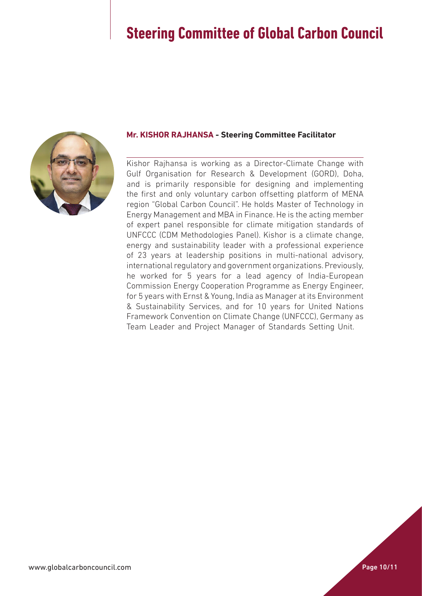

### **Mr. KISHOR RAJHANSA - Steering Committee Facilitator**

Kishor Rajhansa is working as a Director-Climate Change with Gulf Organisation for Research & Development (GORD), Doha, and is primarily responsible for designing and implementing the first and only voluntary carbon offsetting platform of MENA region "Global Carbon Council". He holds Master of Technology in Energy Management and MBA in Finance. He is the acting member of expert panel responsible for climate mitigation standards of UNFCCC (CDM Methodologies Panel). Kishor is a climate change, energy and sustainability leader with a professional experience of 23 years at leadership positions in multi-national advisory, international regulatory and government organizations. Previously, he worked for 5 years for a lead agency of India-European Commission Energy Cooperation Programme as Energy Engineer, for 5 years with Ernst & Young, India as Manager at its Environment & Sustainability Services, and for 10 years for United Nations Framework Convention on Climate Change (UNFCCC), Germany as Team Leader and Project Manager of Standards Setting Unit.